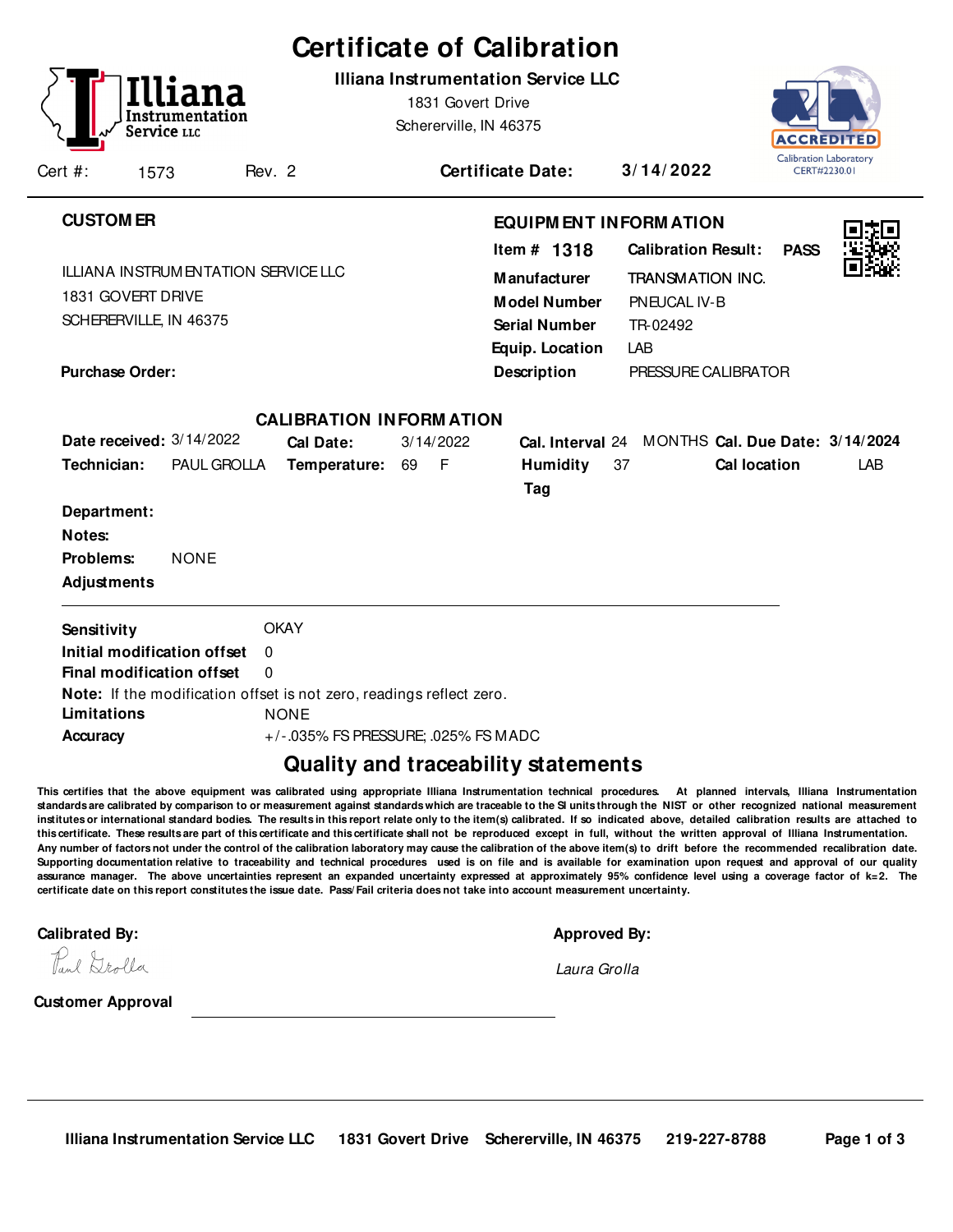|                                 |                                             |                 |          |                                                                      |    |                   | <b>Certificate of Calibration</b>                                                                      |    |                                                                                          |                  |                               |
|---------------------------------|---------------------------------------------|-----------------|----------|----------------------------------------------------------------------|----|-------------------|--------------------------------------------------------------------------------------------------------|----|------------------------------------------------------------------------------------------|------------------|-------------------------------|
|                                 | Service LLC                                 | Instrumentation |          |                                                                      |    | 1831 Govert Drive | Illiana Instrumentation Service LLC<br>Schererville, IN 46375                                          |    |                                                                                          | <b>ACCREDITE</b> | <b>Calibration Laboratory</b> |
| Cert #:                         | 1573                                        |                 | Rev. 2   |                                                                      |    |                   | <b>Certificate Date:</b>                                                                               |    | 3/14/2022                                                                                |                  | CERT#2230.01                  |
| <b>CUSTOM ER</b>                |                                             |                 |          |                                                                      |    |                   |                                                                                                        |    | <b>EQUIPM ENT INFORM ATION</b>                                                           |                  |                               |
|                                 | 1831 GOVERT DRIVE<br>SCHERERVILLE, IN 46375 |                 |          | <b>ILLIANA INSTRUMENTATION SERVICE LLC</b>                           |    |                   | Item $#$ 1318<br><b>Manufacturer</b><br><b>Model Number</b><br><b>Serial Number</b><br>Equip. Location |    | <b>Calibration Result:</b><br><b>TRANSMATION INC.</b><br>PNEUCAL IV-B<br>TR-02492<br>LAB | <b>PASS</b>      |                               |
| <b>Purchase Order:</b>          |                                             |                 |          |                                                                      |    |                   | <b>Description</b>                                                                                     |    | PRESSURE CALIBRATOR                                                                      |                  |                               |
|                                 |                                             |                 |          | <b>CALIBRATION INFORMATION</b>                                       |    |                   |                                                                                                        |    |                                                                                          |                  |                               |
|                                 | Date received: 3/14/2022                    |                 |          | <b>Cal Date:</b>                                                     |    | 3/14/2022         |                                                                                                        |    | Cal. Interval 24 MONTHS Cal. Due Date: 3/14/2024                                         |                  |                               |
| Technician:                     |                                             | PAUL GROLLA     |          | Temperature:                                                         | 69 | - F               | <b>Humidity</b><br>Tag                                                                                 | 37 | Cal location                                                                             |                  | <b>LAB</b>                    |
| Department:<br>Notes:           |                                             |                 |          |                                                                      |    |                   |                                                                                                        |    |                                                                                          |                  |                               |
| Problems:<br><b>Adjustments</b> |                                             | <b>NONE</b>     |          |                                                                      |    |                   |                                                                                                        |    |                                                                                          |                  |                               |
| Sensitivity                     |                                             |                 |          | <b>OKAY</b>                                                          |    |                   |                                                                                                        |    |                                                                                          |                  |                               |
|                                 | Initial modification offset                 |                 | $\Omega$ |                                                                      |    |                   |                                                                                                        |    |                                                                                          |                  |                               |
|                                 | Final modification offset                   |                 | $\Omega$ |                                                                      |    |                   |                                                                                                        |    |                                                                                          |                  |                               |
|                                 |                                             |                 |          | Note: If the modification offset is not zero, readings reflect zero. |    |                   |                                                                                                        |    |                                                                                          |                  |                               |
| Limitations                     |                                             |                 |          | <b>NONE</b>                                                          |    |                   |                                                                                                        |    |                                                                                          |                  |                               |
| Accuracy                        |                                             |                 |          | +/-.035% FS PRESSURE; .025% FS MADC                                  |    |                   |                                                                                                        |    |                                                                                          |                  |                               |

## **Quality and traceability statements**

**This certifies that the above equipment was calibrated using appropriate Illiana Instrumentation technical procedures. At planned intervals, Illiana Instrumentation** standards are calibrated by comparison to or measurement against standards which are traceable to the SI units through the NIST or other recognized national measurement **institutes or international standard bodies. The results in this report relate only to the item(s) calibrated. If so indicated above, detailed calibration results are attached to this certificate. These results are part of this certificate and this certificate shall not be reproduced except in full, without the written approval of Illiana Instrumentation. Any number of factors not under the control of the calibration laboratory may cause the calibration of the above item(s) to drift before the recommended recalibration date. Supporting documentation relative to traceability and technical procedures used is on file and is available for examination upon request and approval of our quality assurance manager. The above uncertainties represent an expanded uncertainty expressed at approximately 95% confidence level using a coverage factor of k=2. The certificate date on this report constitutes the issue date. Pass/ Fail criteria does not take into account measurement uncertainty.**-

**Calibrated By: Approved By: Approved By: Approved By: Approved By: Approved By: Approved By: Approved By: Approved By: Approved By: Approved By: Approved By: Approved By: Approved By: Approved** 

|  | Approved By: |  |
|--|--------------|--|
|  |              |  |

Laura Grolla

Paul Drolla

**Customer Approval**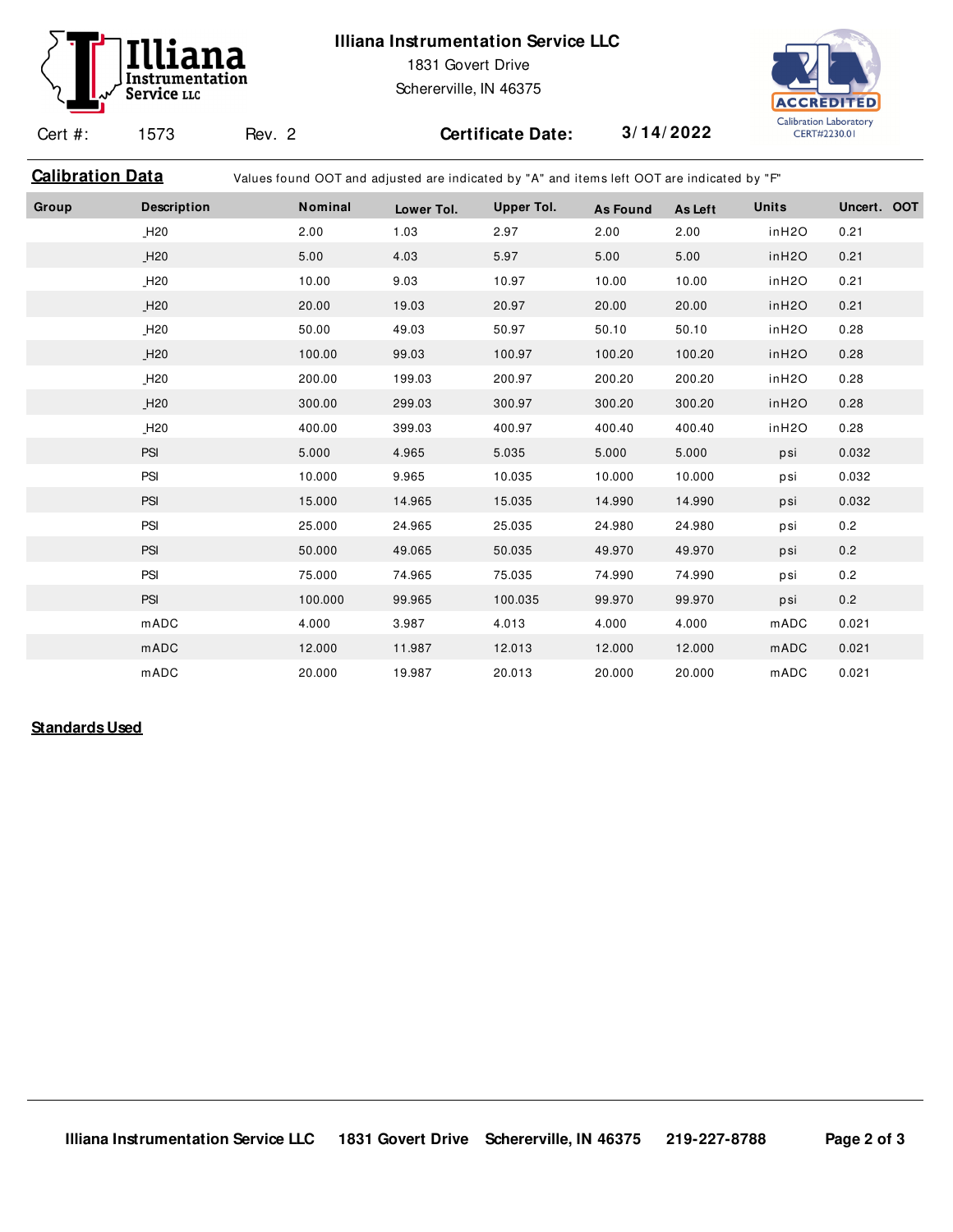# Instrumentation Service LLC

### **Illiana Instrumentation Service LLC**

1831 Govert Drive

Schererville, IN 46375



Cert #: 1573

Rev. 2 **Certificate Date: 3/ 14/ 2022**

| Values found OOT and adjusted are indicated by "A" and items left OOT are indicated by "F" |
|--------------------------------------------------------------------------------------------|
|                                                                                            |

| Group | <b>Description</b> | Nominal | Lower Tol. | Upper Tol. | <b>As Found</b> | As Left | <b>Units</b>       | Uncert. OOT |
|-------|--------------------|---------|------------|------------|-----------------|---------|--------------------|-------------|
|       | $_H20$             | 2.00    | 1.03       | 2.97       | 2.00            | 2.00    | inH2O              | 0.21        |
|       | H20                | 5.00    | 4.03       | 5.97       | 5.00            | 5.00    | inH <sub>2</sub> O | 0.21        |
|       | H20                | 10.00   | 9.03       | 10.97      | 10.00           | 10.00   | inH2O              | 0.21        |
|       | H20                | 20.00   | 19.03      | 20.97      | 20.00           | 20.00   | inH <sub>2</sub> O | 0.21        |
|       | H20                | 50.00   | 49.03      | 50.97      | 50.10           | 50.10   | inH2O              | 0.28        |
|       | H20                | 100.00  | 99.03      | 100.97     | 100.20          | 100.20  | inH <sub>2</sub> O | 0.28        |
|       | H20                | 200.00  | 199.03     | 200.97     | 200.20          | 200.20  | inH2O              | 0.28        |
|       | H20                | 300.00  | 299.03     | 300.97     | 300.20          | 300.20  | inH2O              | 0.28        |
|       | $_H20$             | 400.00  | 399.03     | 400.97     | 400.40          | 400.40  | inH2O              | 0.28        |
|       | <b>PSI</b>         | 5.000   | 4.965      | 5.035      | 5.000           | 5.000   | psi                | 0.032       |
|       | PSI                | 10.000  | 9.965      | 10.035     | 10.000          | 10.000  | psi                | 0.032       |
|       | <b>PSI</b>         | 15.000  | 14.965     | 15.035     | 14.990          | 14.990  | psi                | 0.032       |
|       | PSI                | 25.000  | 24.965     | 25.035     | 24.980          | 24.980  | psi                | 0.2         |
|       | <b>PSI</b>         | 50.000  | 49.065     | 50.035     | 49.970          | 49.970  | psi                | 0.2         |
|       | PSI                | 75.000  | 74.965     | 75.035     | 74.990          | 74.990  | psi                | 0.2         |
|       | <b>PSI</b>         | 100.000 | 99.965     | 100.035    | 99.970          | 99.970  | psi                | 0.2         |
|       | mADC               | 4.000   | 3.987      | 4.013      | 4.000           | 4.000   | mADC               | 0.021       |
|       | mADC               | 12.000  | 11.987     | 12.013     | 12.000          | 12.000  | mADC               | 0.021       |
|       | <b>mADC</b>        | 20.000  | 19.987     | 20.013     | 20.000          | 20.000  | mADC               | 0.021       |

#### **Standards Used**